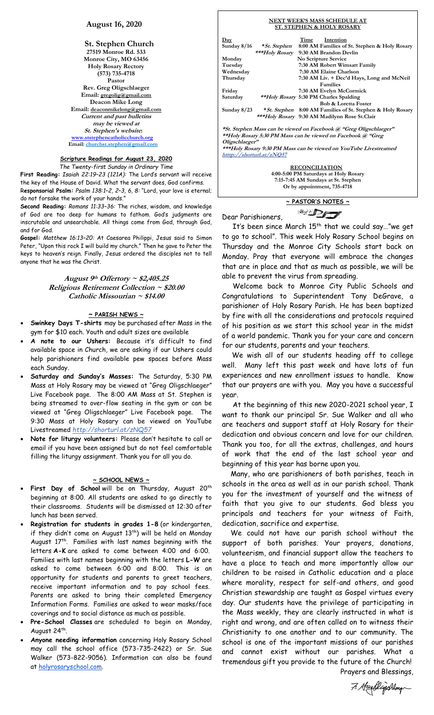# **August 16, 2020**

**St. Stephen Church 27519 Monroe Rd. 533 Monroe City, MO 63456 Holy Rosary Rectory (573) 735-4718 Pastor Rev. Greg Oligschlaeger Email: gregolig@gmail.com Deacon Mike Long Email: deaconmikelong@gmail.com Current and past bulletins may be viewed at St. Stephen's website: [www.ststephencatholicchurch.org](http://www.ststephencatholicchurch.org/) Email: [churchst.stephen@gmail.com](mailto:churchst.stephen@gmail.com)**

# **Scripture Readings for August 23, 2020**

*The Twenty-first Sunday in Ordinary Time*

**First Reading:** *Isaiah 22:19–23 (121A):* The Lord's servant will receive the key of the House of David. What the servant does, God confirms. R**esponsorial Psalm:** *Psalm 138:1–2, 2–3, 6, 8:* "Lord, your love is eternal; do not forsake the work of your hands."

**Second Reading:** *Romans 11:33–36:* The riches, wisdom, and knowledge of God are too deep for humans to fathom. God's judgments are inscrutable and unsearchable. All things come from God, through God, and for God.

**Gospel:** *Matthew 16:13–20:* At Caesarea Philippi, Jesus said to Simon Peter, "Upon this rock I will build my church." Then he gave to Peter the keys to heaven's reign. Finally, Jesus ordered the disciples not to tell anyone that he was the Christ.

# **August 9th Offertory ~ \$2,405.25 Religious Retirement Collection ~ \$20.00 Catholic Missourian ~ \$14.00**

## **~ PARISH NEWS ~**

- **Swinkey Days T-shirts** may be purchased after Mass in the gym for \$10 each. Youth and adult sizes are available
- **A note to our Ushers:** Because it's difficult to find available space in Church, we are asking if our Ushers could help parishioners find available pew spaces before Mass each Sunday.
- **Saturday and Sunday's Masses:** The Saturday, 5:30 PM Mass at Holy Rosary may be viewed at "Greg Oligschlaeger" Live Facebook page. The 8:00 AM Mass at St. Stephen is being streamed to over-flow seating in the gym or can be viewed at "Greg Oligschlaeger" Live Facebook page. The 9:30 Mass at Holy Rosary can be viewed on YouTube Livestreamed *http://shorturl.at/zNQ57*
- **Note for liturgy volunteers:** Please don't hesitate to call or email if you have been assigned but do not feel comfortable filling the liturgy assignment. Thank you for all you do.

#### **~ SCHOOL NEWS ~**

- First Day of School will be on Thursday, August 20<sup>th</sup> beginning at 8:00. All students are asked to go directly to their classrooms. Students will be dismissed at 12:30 after lunch has been served.
- **Registration for students in grades 1-8** (or kindergarten, if they didn't come on August 13<sup>th</sup>) will be held on Monday August 17<sup>th</sup>. Families with last names beginning with the letters **A-K** are asked to come between 4:00 and 6:00. Families with last names beginning with the letters **L-W** are asked to come between 6:00 and 8:00. This is an opportunity for students and parents to greet teachers, receive important information and to pay school fees. Parents are asked to bring their completed Emergency Information Forms. Families are asked to wear masks/face coverings and to social distance as much as possible.
- **Pre-School Classes** are scheduled to begin on Monday, August 24<sup>th</sup>.
- **Anyone needing information** concerning Holy Rosary School may call the school office (573-735-2422) or Sr. Sue Walker (573-822-9056). Information can also be found at [holyrosaryschool.com.](http://holyrosaryschool.com/)

#### **NEXT WEEK'S MASS SCHEDULE AT ST. STEPHEN & HOLY ROSARY Day Time Intention Sunday 8/16 \*St. Stephen 8:00 AM Families of St. Stephen & Holy Rosary** \*\*\*Holy **Rosary** 9:30 AM Brandon Devlin<br>Nonday No Scripture Service **Monday No Scripture Service Tuesday 7:30 AM Robert Wimsatt Family** Wednesday 7:30 AM Elaine Charlson<br>Thursday 7:30 AM Liv. + Dec'd Hay **Thursday 7:30 AM Liv. + Dec'd Hays, Long and McNeil Families**<br> **Friday**<br> **7:30 AM Evelyn M** Friday 7:30 AM Evelyn McCormick<br>Saturday *\*\*Holy Rosary* 5:30 PM Charles Spalding **Saturday \*\*Holy Rosary 5:30 PM Charles Spalding Bob & Loretta Foster Sunday 8/23 \*St. Stephen 8:00 AM Families of St. Stephen & Holy Rosary**

 **\*\*\*Holy Rosary 9:30 AM Madilynn Rose St.Clair**

**\*St. Stephen Mass can be viewed on Facebook @ "Greg Oligschlaeger" \*\*Holy Rosary 5:30 PM Mass can be viewed on Facebook @ "Greg Oligschlaeger" \*\*\*Holy Rosary 9:30 PM Mass can be viewed on YouTube Livestreamed htttp://shorturl.at/zNQ57** 

> **RECONCILIATION 4:00-5:00 PM Saturdays at Holy Rosary 7:15-7:45 AM Sundays at St. Stephen Or by appointment, 735-4718**



Dear Parishioners,

It's been since March  $15^{th}$  that we could say..."we get to go to school". This week Holy Rosary School begins on Thursday and the Monroe City Schools start back on Monday. Pray that everyone will embrace the changes that are in place and that as much as possible, we will be able to prevent the virus from spreading.

 Welcome back to Monroe City Public Schools and Congratulations to Superintendent Tony DeGrave, a parishioner of Holy Rosary Parish. He has been baptized by fire with all the considerations and protocols required of his position as we start this school year in the midst of a world pandemic. Thank you for your care and concern for our students, parents and your teachers.

 We wish all of our students heading off to college well. Many left this past week and have lots of fun experiences and new enrollment issues to handle. Know that our prayers are with you. May you have a successful year.

 At the beginning of this new 2020-2021 school year, I want to thank our principal Sr. Sue Walker and all who are teachers and support staff at Holy Rosary for their dedication and obvious concern and love for our children. Thank you too, for all the extras, challenges, and hours of work that the end of the last school year and beginning of this year has borne upon you.

 Many, who are parishioners of both parishes, teach in schools in the area as well as in our parish school. Thank you for the investment of yourself and the witness of faith that you give to our students. God bless you principals and teachers for your witness of Faith, dedication, sacrifice and expertise.

 We could not have our parish school without the support of both parishes. Your prayers, donations, volunteerism, and financial support allow the teachers to have a place to teach and more importantly allow our children to be raised in Catholic education and a place where morality, respect for self-and others, and good Christian stewardship are taught as Gospel virtues every day. Our students have the privilege of participating in the Mass weekly, they are clearly instructed in what is right and wrong, and are often called on to witness their Christianity to one another and to our community. The school is one of the important missions of our parishes and cannot exist without our parishes. What a tremendous gift you provide to the future of the Church! Prayers and Blessings,

7. Hosellyschlage